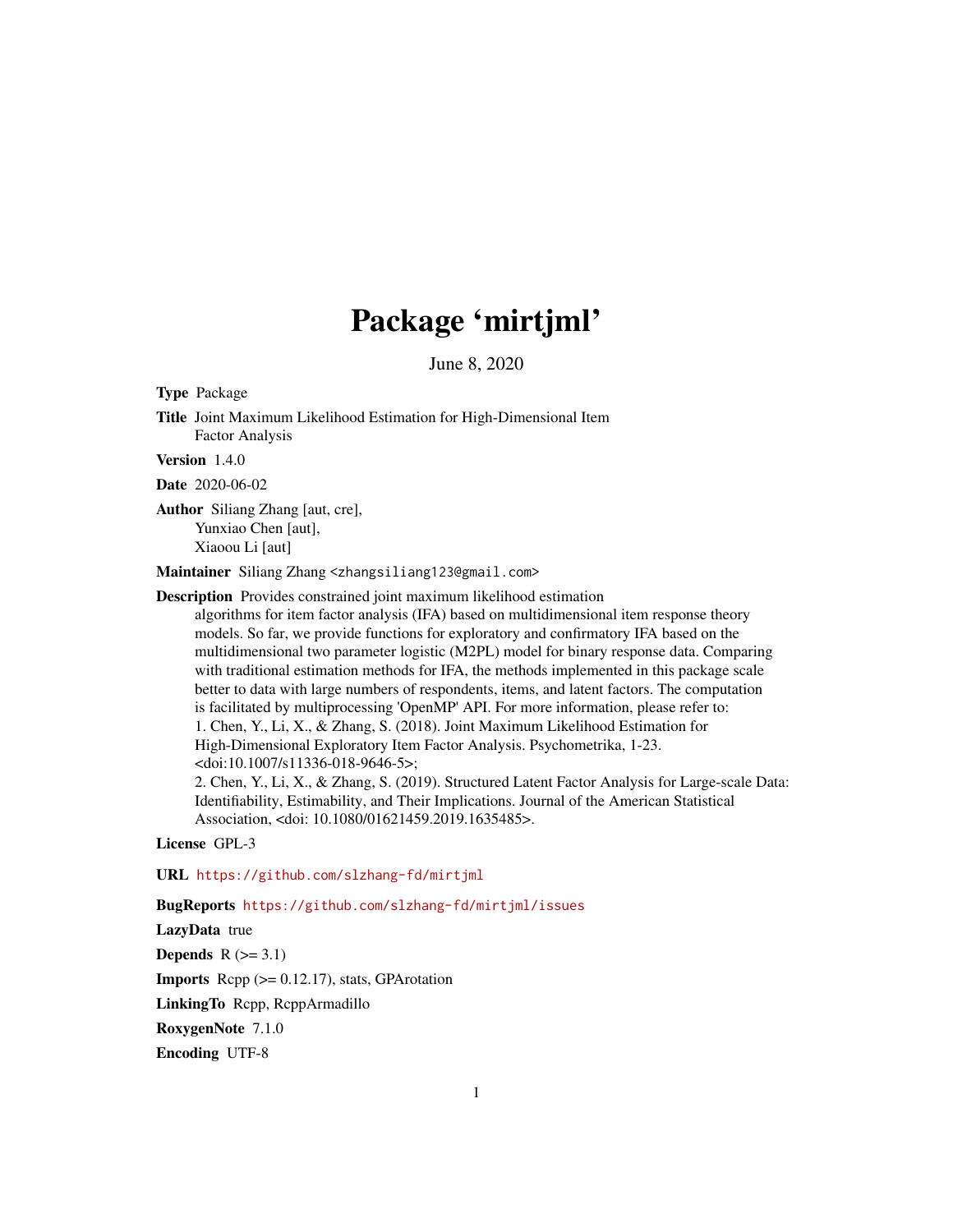## Package 'mirtjml'

June 8, 2020

Type Package

Title Joint Maximum Likelihood Estimation for High-Dimensional Item Factor Analysis

Version 1.4.0

Date 2020-06-02

Author Siliang Zhang [aut, cre], Yunxiao Chen [aut], Xiaoou Li [aut]

Maintainer Siliang Zhang <zhangsiliang123@gmail.com>

Description Provides constrained joint maximum likelihood estimation

algorithms for item factor analysis (IFA) based on multidimensional item response theory models. So far, we provide functions for exploratory and confirmatory IFA based on the multidimensional two parameter logistic (M2PL) model for binary response data. Comparing with traditional estimation methods for IFA, the methods implemented in this package scale better to data with large numbers of respondents, items, and latent factors. The computation is facilitated by multiprocessing 'OpenMP' API. For more information, please refer to: 1. Chen, Y., Li, X., & Zhang, S. (2018). Joint Maximum Likelihood Estimation for High-Dimensional Exploratory Item Factor Analysis. Psychometrika, 1-23. <doi:10.1007/s11336-018-9646-5>;

2. Chen, Y., Li, X., & Zhang, S. (2019). Structured Latent Factor Analysis for Large-scale Data: Identifiability, Estimability, and Their Implications. Journal of the American Statistical Association, <doi: 10.1080/01621459.2019.1635485>.

License GPL-3

URL <https://github.com/slzhang-fd/mirtjml>

BugReports <https://github.com/slzhang-fd/mirtjml/issues>

LazyData true

**Depends**  $R$  ( $>= 3.1$ )

**Imports** Rcpp  $(>= 0.12.17)$ , stats, GPArotation

LinkingTo Rcpp, RcppArmadillo

RoxygenNote 7.1.0

Encoding UTF-8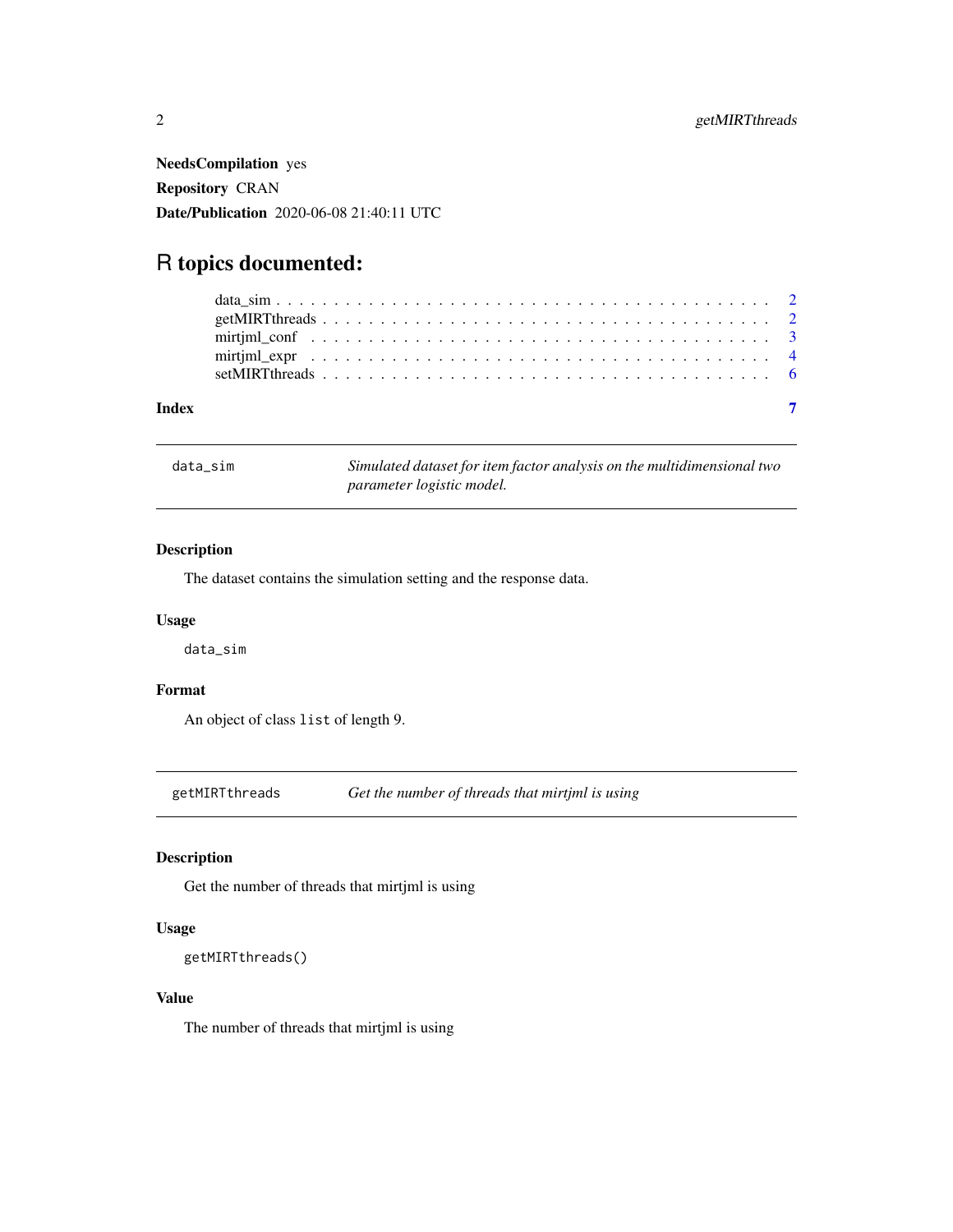<span id="page-1-0"></span>NeedsCompilation yes Repository CRAN Date/Publication 2020-06-08 21:40:11 UTC

### R topics documented:

data\_sim *Simulated dataset for item factor analysis on the multidimensional two parameter logistic model.*

#### Description

The dataset contains the simulation setting and the response data.

#### Usage

data\_sim

#### Format

An object of class list of length 9.

getMIRTthreads *Get the number of threads that mirtjml is using*

#### Description

Get the number of threads that mirtjml is using

#### Usage

```
getMIRTthreads()
```
#### Value

The number of threads that mirtjml is using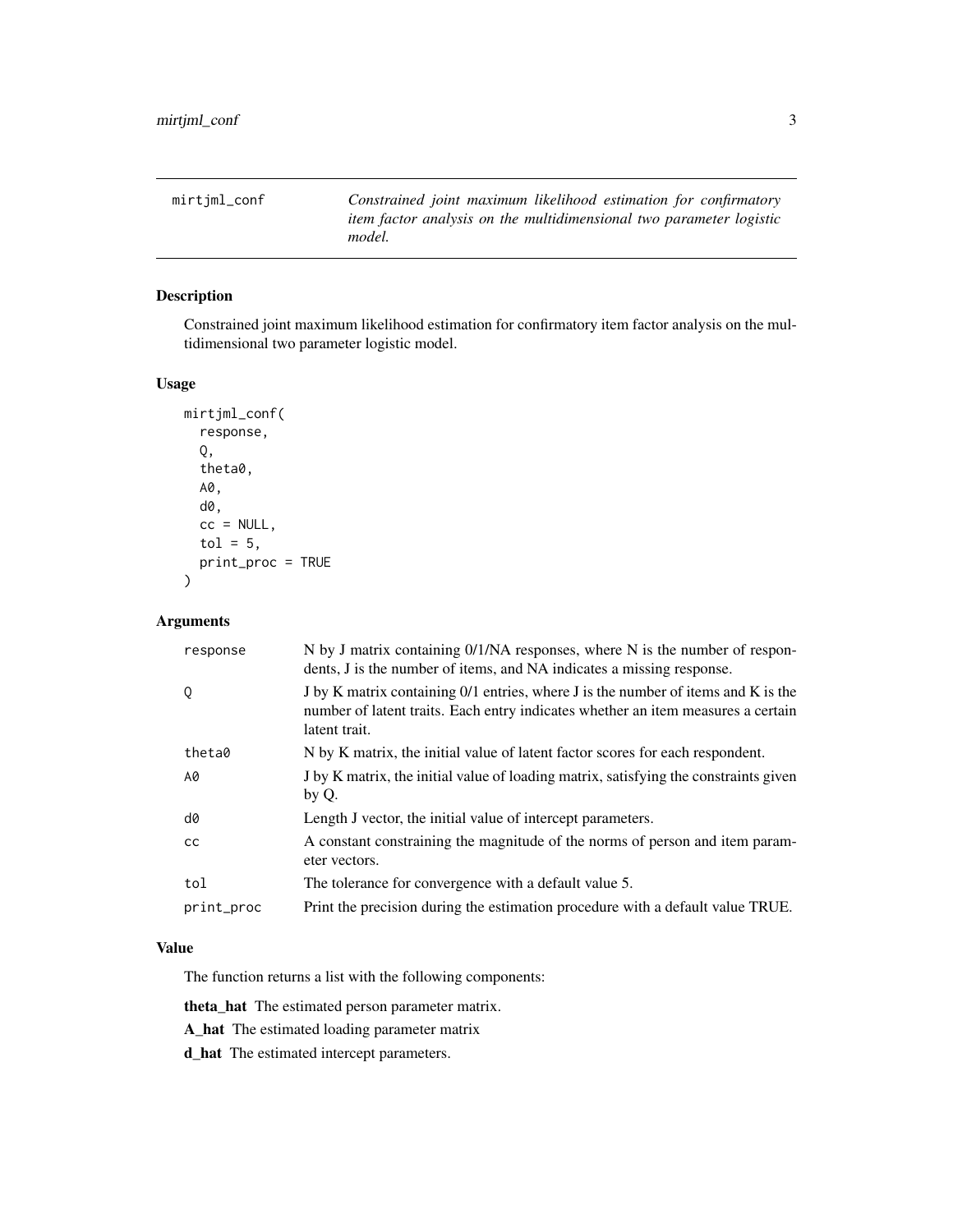<span id="page-2-0"></span>mirtjml\_conf *Constrained joint maximum likelihood estimation for confirmatory item factor analysis on the multidimensional two parameter logistic model.*

#### Description

Constrained joint maximum likelihood estimation for confirmatory item factor analysis on the multidimensional two parameter logistic model.

#### Usage

```
mirtjml_conf(
  response,
  Q,
  theta0,
  A0,
  d0,
  cc = NULL,tol = 5,print_proc = TRUE
\mathcal{L}
```
#### Arguments

| response   | N by J matrix containing 0/1/NA responses, where N is the number of respon-<br>dents, J is the number of items, and NA indicates a missing response.                                   |
|------------|----------------------------------------------------------------------------------------------------------------------------------------------------------------------------------------|
| Q          | J by K matrix containing 0/1 entries, where J is the number of items and K is the<br>number of latent traits. Each entry indicates whether an item measures a certain<br>latent trait. |
| theta0     | N by K matrix, the initial value of latent factor scores for each respondent.                                                                                                          |
| A0         | J by K matrix, the initial value of loading matrix, satisfying the constraints given<br>by Q.                                                                                          |
| d0         | Length J vector, the initial value of intercept parameters.                                                                                                                            |
| <b>CC</b>  | A constant constraining the magnitude of the norms of person and item param-<br>eter vectors.                                                                                          |
| tol        | The tolerance for convergence with a default value 5.                                                                                                                                  |
| print_proc | Print the precision during the estimation procedure with a default value TRUE.                                                                                                         |

#### Value

The function returns a list with the following components:

theta\_hat The estimated person parameter matrix.

A\_hat The estimated loading parameter matrix

d\_hat The estimated intercept parameters.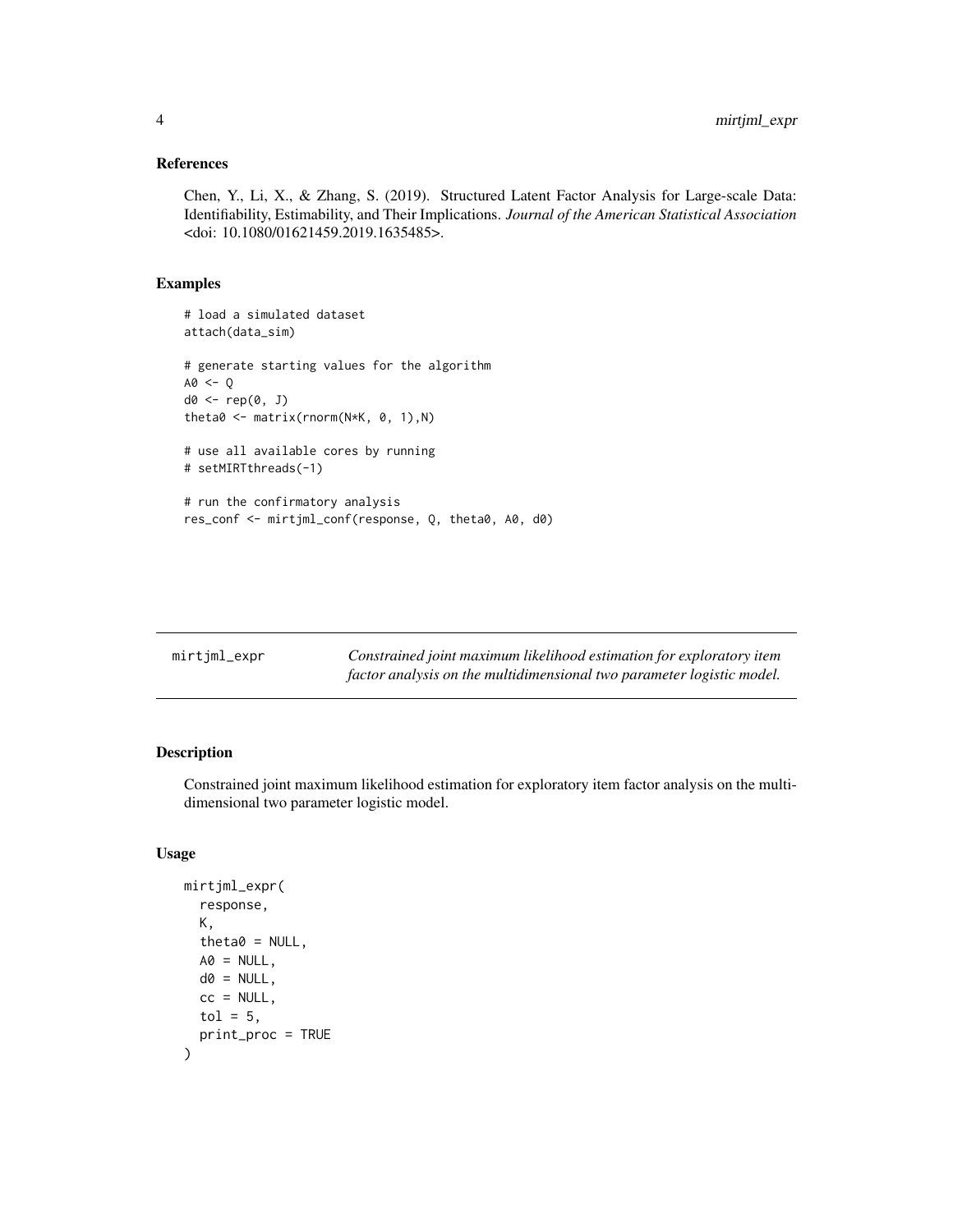#### <span id="page-3-0"></span>References

Chen, Y., Li, X., & Zhang, S. (2019). Structured Latent Factor Analysis for Large-scale Data: Identifiability, Estimability, and Their Implications. *Journal of the American Statistical Association* <doi: 10.1080/01621459.2019.1635485>.

#### Examples

```
# load a simulated dataset
attach(data_sim)
# generate starting values for the algorithm
AO < - Qd0 <- rep(0, J)
theta0 <- matrix(rnorm(N*K, 0, 1),N)
# use all available cores by running
# setMIRTthreads(-1)
# run the confirmatory analysis
res_conf <- mirtjml_conf(response, Q, theta0, A0, d0)
```

| mirtjml_expr | Constrained joint maximum likelihood estimation for exploratory item  |
|--------------|-----------------------------------------------------------------------|
|              | factor analysis on the multidimensional two parameter logistic model. |

#### Description

Constrained joint maximum likelihood estimation for exploratory item factor analysis on the multidimensional two parameter logistic model.

#### Usage

```
mirtjml_expr(
  response,
 K,
  theta0 = NULL,AO = NULL,
 d0 = NULL,cc = NULL,tol = 5,
 print_proc = TRUE
)
```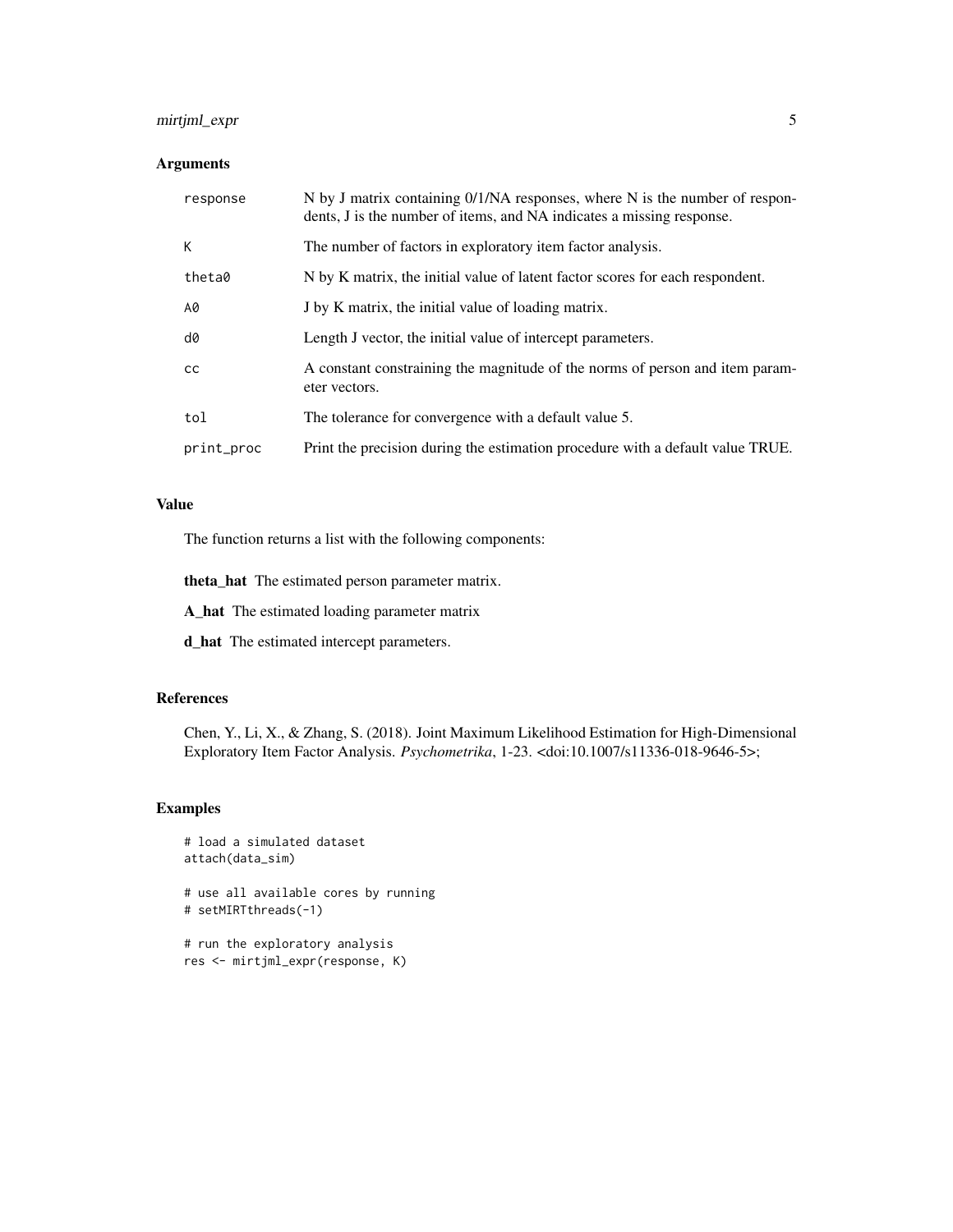#### mirtjml\_expr 5

#### Arguments

| response   | N by J matrix containing 0/1/NA responses, where N is the number of respon-<br>dents, J is the number of items, and NA indicates a missing response. |
|------------|------------------------------------------------------------------------------------------------------------------------------------------------------|
| К          | The number of factors in exploratory item factor analysis.                                                                                           |
| theta0     | N by K matrix, the initial value of latent factor scores for each respondent.                                                                        |
| A0         | J by K matrix, the initial value of loading matrix.                                                                                                  |
| d0         | Length J vector, the initial value of intercept parameters.                                                                                          |
| cc         | A constant constraining the magnitude of the norms of person and item param-<br>eter vectors.                                                        |
| tol        | The tolerance for convergence with a default value 5.                                                                                                |
| print_proc | Print the precision during the estimation procedure with a default value TRUE.                                                                       |

#### Value

The function returns a list with the following components:

theta\_hat The estimated person parameter matrix.

A\_hat The estimated loading parameter matrix

d\_hat The estimated intercept parameters.

#### References

Chen, Y., Li, X., & Zhang, S. (2018). Joint Maximum Likelihood Estimation for High-Dimensional Exploratory Item Factor Analysis. *Psychometrika*, 1-23. <doi:10.1007/s11336-018-9646-5>;

#### Examples

```
# load a simulated dataset
attach(data_sim)
# use all available cores by running
```
# setMIRTthreads(-1)

```
# run the exploratory analysis
res <- mirtjml_expr(response, K)
```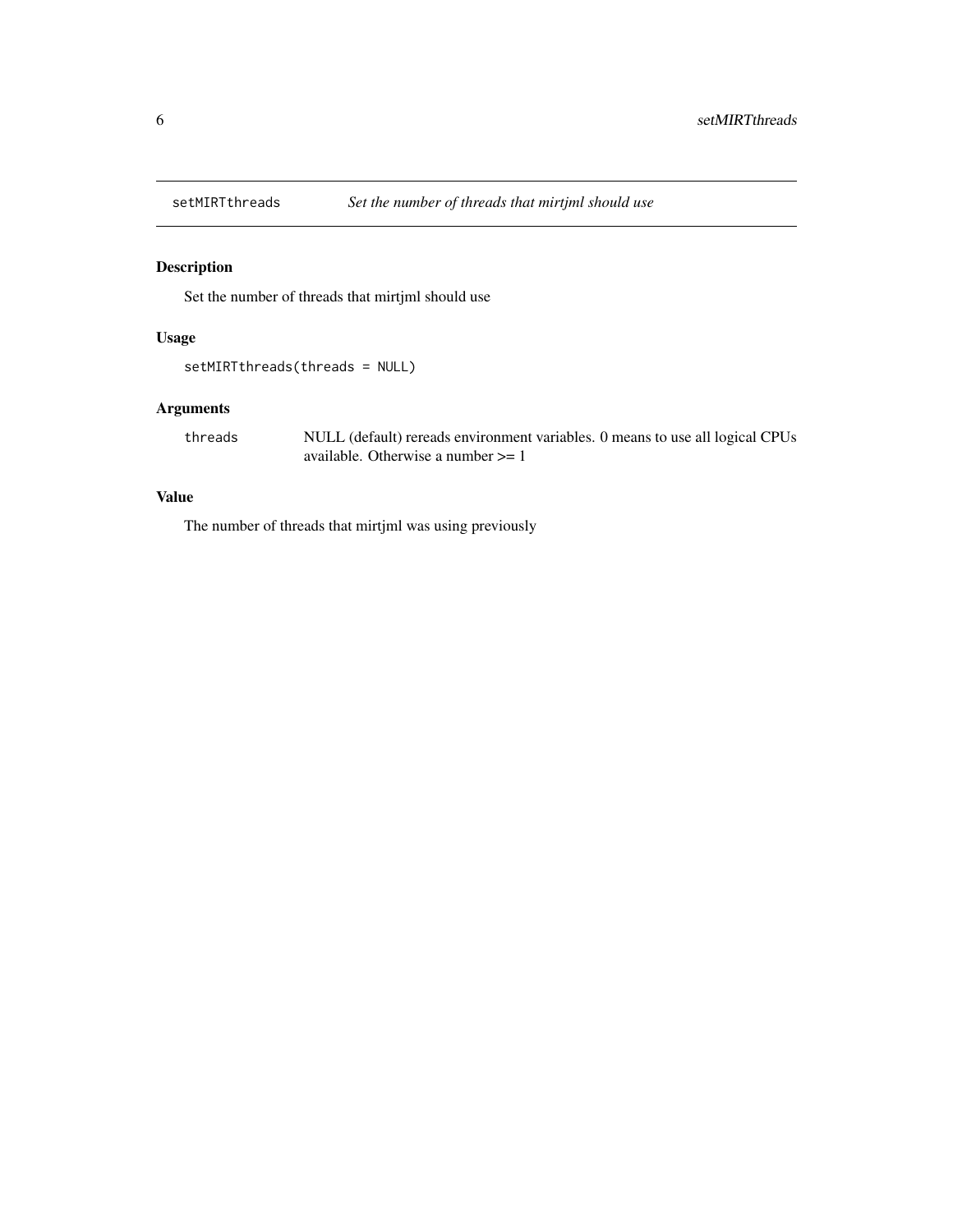<span id="page-5-0"></span>

#### Description

Set the number of threads that mirtjml should use

#### Usage

```
setMIRTthreads(threads = NULL)
```
#### Arguments

threads NULL (default) rereads environment variables. 0 means to use all logical CPUs available. Otherwise a number >= 1

#### Value

The number of threads that mirtjml was using previously